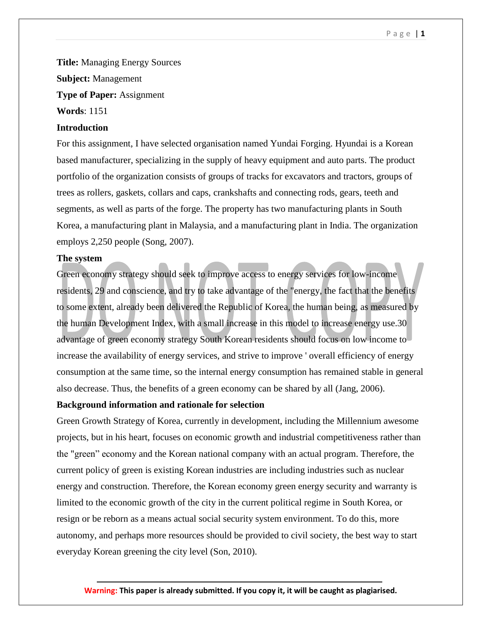#### P a g e | **1**

**Title:** Managing Energy Sources **Subject:** Management **Type of Paper:** Assignment **Words**: 1151

# **Introduction**

For this assignment, I have selected organisation named Yundai Forging. Hyundai is a Korean based manufacturer, specializing in the supply of heavy equipment and auto parts. The product portfolio of the organization consists of groups of tracks for excavators and tractors, groups of trees as rollers, gaskets, collars and caps, crankshafts and connecting rods, gears, teeth and segments, as well as parts of the forge. The property has two manufacturing plants in South Korea, a manufacturing plant in Malaysia, and a manufacturing plant in India. The organization employs 2,250 people (Song, 2007).

### **The system**

Green economy strategy should seek to improve access to energy services for low-income residents, 29 and conscience, and try to take advantage of the "energy, the fact that the benefits to some extent, already been delivered the Republic of Korea, the human being, as measured by the human Development Index, with a small increase in this model to increase energy use.30 advantage of green economy strategy South Korean residents should focus on low income to increase the availability of energy services, and strive to improve ' overall efficiency of energy consumption at the same time, so the internal energy consumption has remained stable in general also decrease. Thus, the benefits of a green economy can be shared by all (Jang, 2006).

### **Background information and rationale for selection**

Green Growth Strategy of Korea, currently in development, including the Millennium awesome projects, but in his heart, focuses on economic growth and industrial competitiveness rather than the "green" economy and the Korean national company with an actual program. Therefore, the current policy of green is existing Korean industries are including industries such as nuclear energy and construction. Therefore, the Korean economy green energy security and warranty is limited to the economic growth of the city in the current political regime in South Korea, or resign or be reborn as a means actual social security system environment. To do this, more autonomy, and perhaps more resources should be provided to civil society, the best way to start everyday Korean greening the city level (Son, 2010).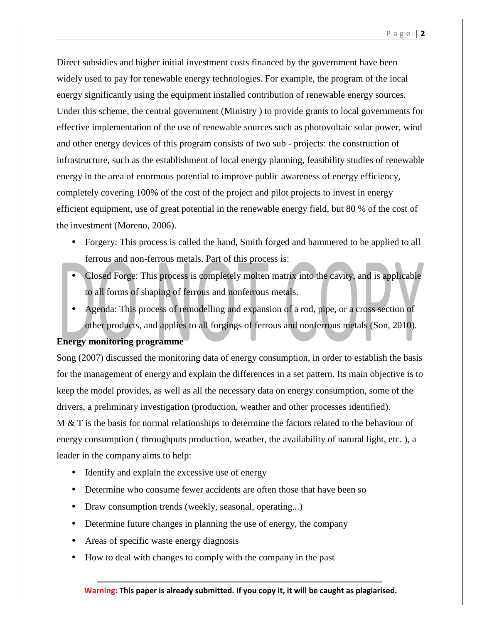Direct subsidies and higher initial investment costs financed by the government have been widely used to pay for renewable energy technologies. For example, the program of the local energy significantly using the equipment installed contribution of renewable energy sources. Under this scheme, the central government (Ministry ) to provide grants to local governments for effective implementation of the use of renewable sources such as photovoltaic solar power, wind and other energy devices of this program consists of two sub - projects: the construction of infrastructure, such as the establishment of local energy planning, feasibility studies of renewable energy in the area of enormous potential to improve public awareness of energy efficiency, completely covering 100% of the cost of the project and pilot projects to invest in energy efficient equipment, use of great potential in the renewable energy field, but 80 % of the cost of the investment (Moreno, 2006).

- Forgery: This process is called the hand, Smith forged and hammered to be applied to all ferrous and non-ferrous metals. Part of this process is:
- Closed Forge: This process is completely molten matrix into the cavity, and is applicable to all forms of shaping of ferrous and nonferrous metals.
- Agenda: This process of remodelling and expansion of a rod, pipe, or a cross section of other products, and applies to all forgings of ferrous and nonferrous metals (Son, 2010).

### **Energy monitoring programme**

Song (2007) discussed the monitoring data of energy consumption, in order to establish the basis for the management of energy and explain the differences in a set pattern. Its main objective is to keep the model provides, as well as all the necessary data on energy consumption, some of the drivers, a preliminary investigation (production, weather and other processes identified). M & T is the basis for normal relationships to determine the factors related to the behaviour of energy consumption ( throughputs production, weather, the availability of natural light, etc. ), a

leader in the company aims to help:

- Identify and explain the excessive use of energy
- Determine who consume fewer accidents are often those that have been so
- Draw consumption trends (weekly, seasonal, operating...)
- Determine future changes in planning the use of energy, the company
- Areas of specific waste energy diagnosis
- How to deal with changes to comply with the company in the past

**Warning: This paper is already submitted. If you copy it, it will be caught as plagiarised.**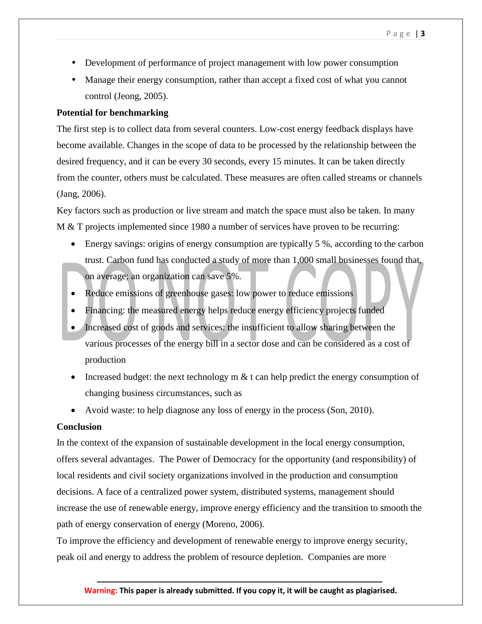- Development of performance of project management with low power consumption
- Manage their energy consumption, rather than accept a fixed cost of what you cannot control (Jeong, 2005).

# **Potential for benchmarking**

The first step is to collect data from several counters. Low-cost energy feedback displays have become available. Changes in the scope of data to be processed by the relationship between the desired frequency, and it can be every 30 seconds, every 15 minutes. It can be taken directly from the counter, others must be calculated. These measures are often called streams or channels (Jang, 2006).

Key factors such as production or live stream and match the space must also be taken. In many M & T projects implemented since 1980 a number of services have proven to be recurring:

- Energy savings: origins of energy consumption are typically 5 %, according to the carbon trust. Carbon fund has conducted a study of more than 1,000 small businesses found that, on average; an organization can save 5%.
- Reduce emissions of greenhouse gases: low power to reduce emissions
- Financing: the measured energy helps reduce energy efficiency projects funded
- Increased cost of goods and services: the insufficient to allow sharing between the various processes of the energy bill in a sector dose and can be considered as a cost of production
- Increased budget: the next technology m  $&$  t can help predict the energy consumption of changing business circumstances, such as
- Avoid waste: to help diagnose any loss of energy in the process (Son, 2010).

# **Conclusion**

In the context of the expansion of sustainable development in the local energy consumption, offers several advantages. The Power of Democracy for the opportunity (and responsibility) of local residents and civil society organizations involved in the production and consumption decisions. A face of a centralized power system, distributed systems, management should increase the use of renewable energy, improve energy efficiency and the transition to smooth the path of energy conservation of energy (Moreno, 2006).

To improve the efficiency and development of renewable energy to improve energy security, peak oil and energy to address the problem of resource depletion. Companies are more